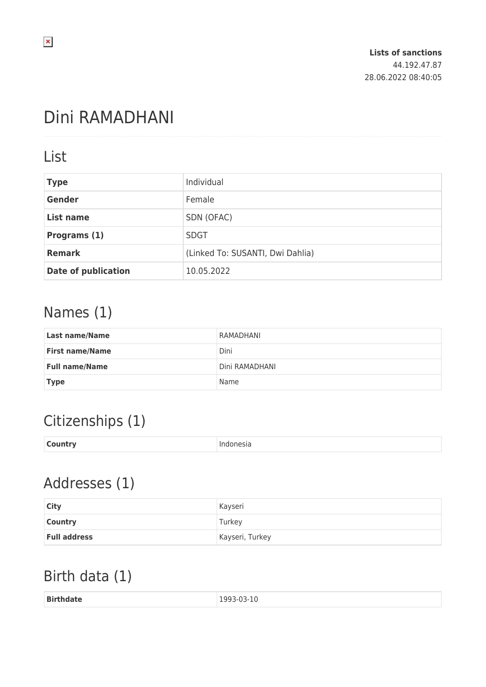# Dini RAMADHANI

### List

| <b>Type</b>                | Individual                       |  |
|----------------------------|----------------------------------|--|
| <b>Gender</b>              | Female                           |  |
| <b>List name</b>           | SDN (OFAC)                       |  |
| Programs (1)               | <b>SDGT</b>                      |  |
| <b>Remark</b>              | (Linked To: SUSANTI, Dwi Dahlia) |  |
| <b>Date of publication</b> | 10.05.2022                       |  |

## Names (1)

| Last name/Name         | RAMADHANI      |
|------------------------|----------------|
| <b>First name/Name</b> | Dini           |
| <b>Full name/Name</b>  | Dini RAMADHANI |
| <b>Type</b>            | Name           |

## Citizenships (1)

| <b>Country</b> | ndonesia |
|----------------|----------|
|                |          |

## Addresses (1)

| <b>City</b>         | Kayseri         |
|---------------------|-----------------|
| <b>Country</b>      | Turkey          |
| <b>Full address</b> | Kayseri, Turkey |

# Birth data (1)

| <b>Birthdate</b><br>1993-03-10<br>-<br>----<br>. |  |
|--------------------------------------------------|--|
|--------------------------------------------------|--|

 $\pmb{\times}$